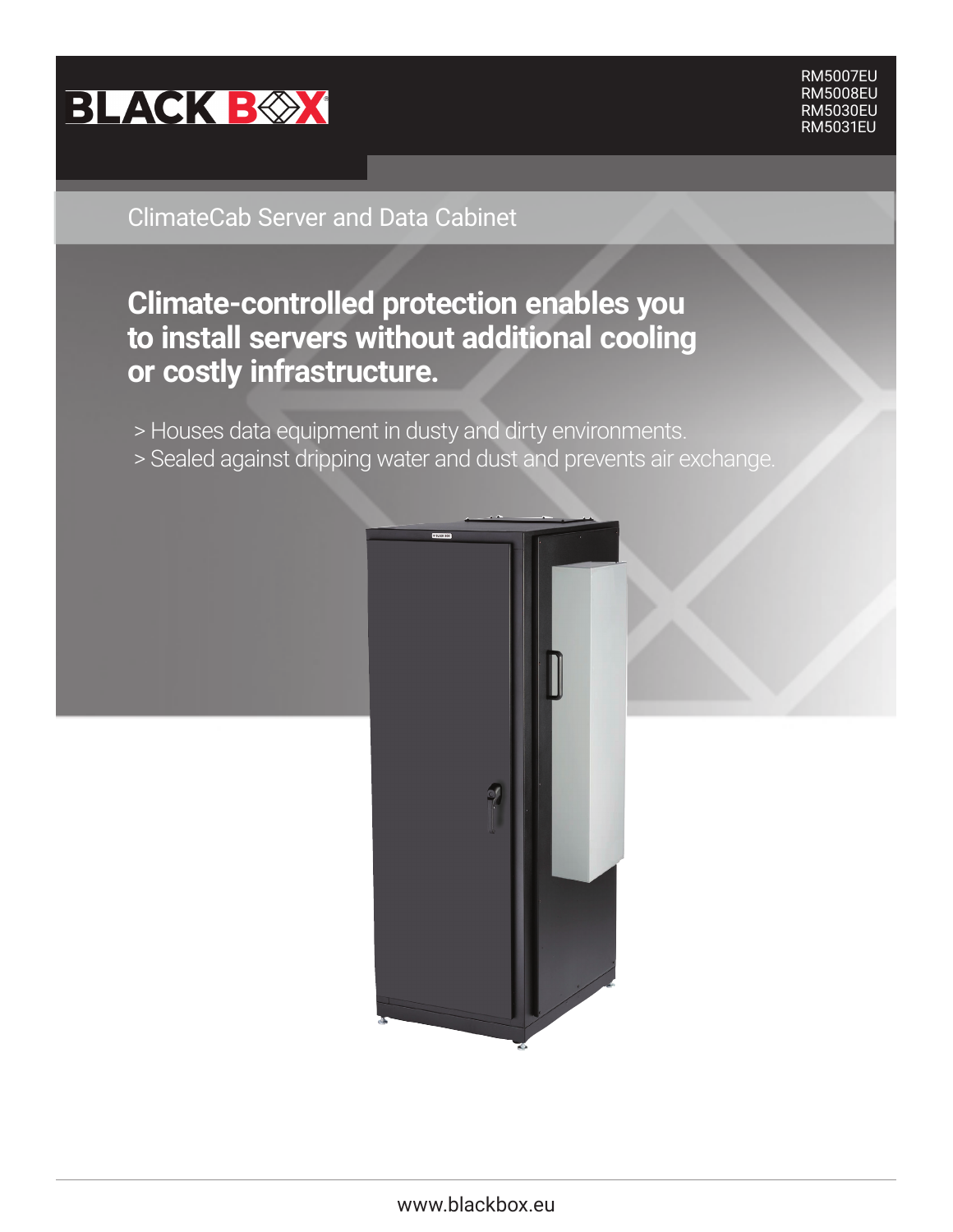

**Information**

 RM5007EU RM5008EU RM5030EU RM5031EU

## ClimateCab Server and Data Cabinet

# **Climate-controlled protection enables you to install servers without additional cooling or costly infrastructure.**

- > Houses data equipment in dusty and dirty environments.
- > Sealed against dripping water and dust and prevents air exchange.

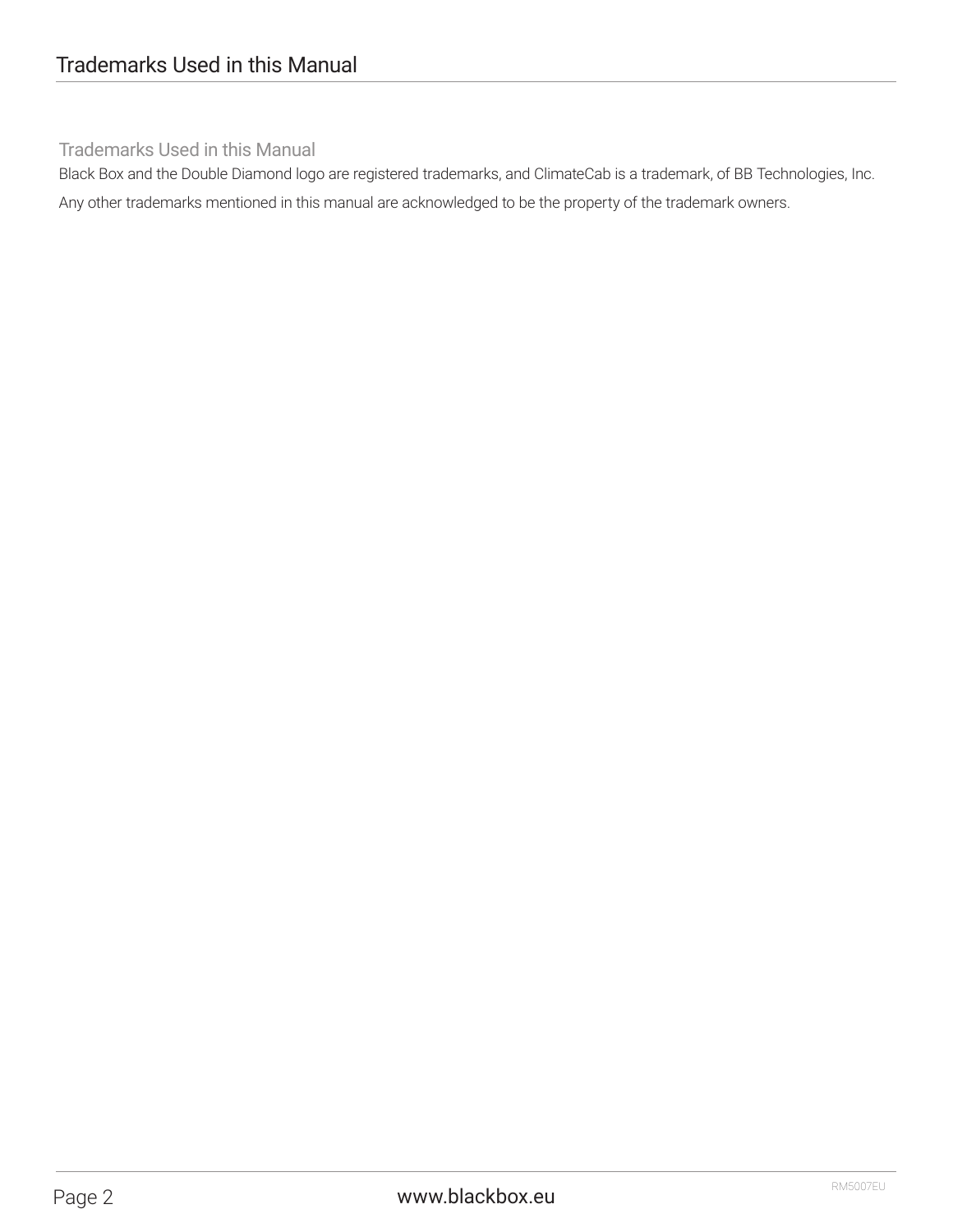## Trademarks Used in this Manual

Black Box and the Double Diamond logo are registered trademarks, and ClimateCab is a trademark, of BB Technologies, Inc. Any other trademarks mentioned in this manual are acknowledged to be the property of the trademark owners.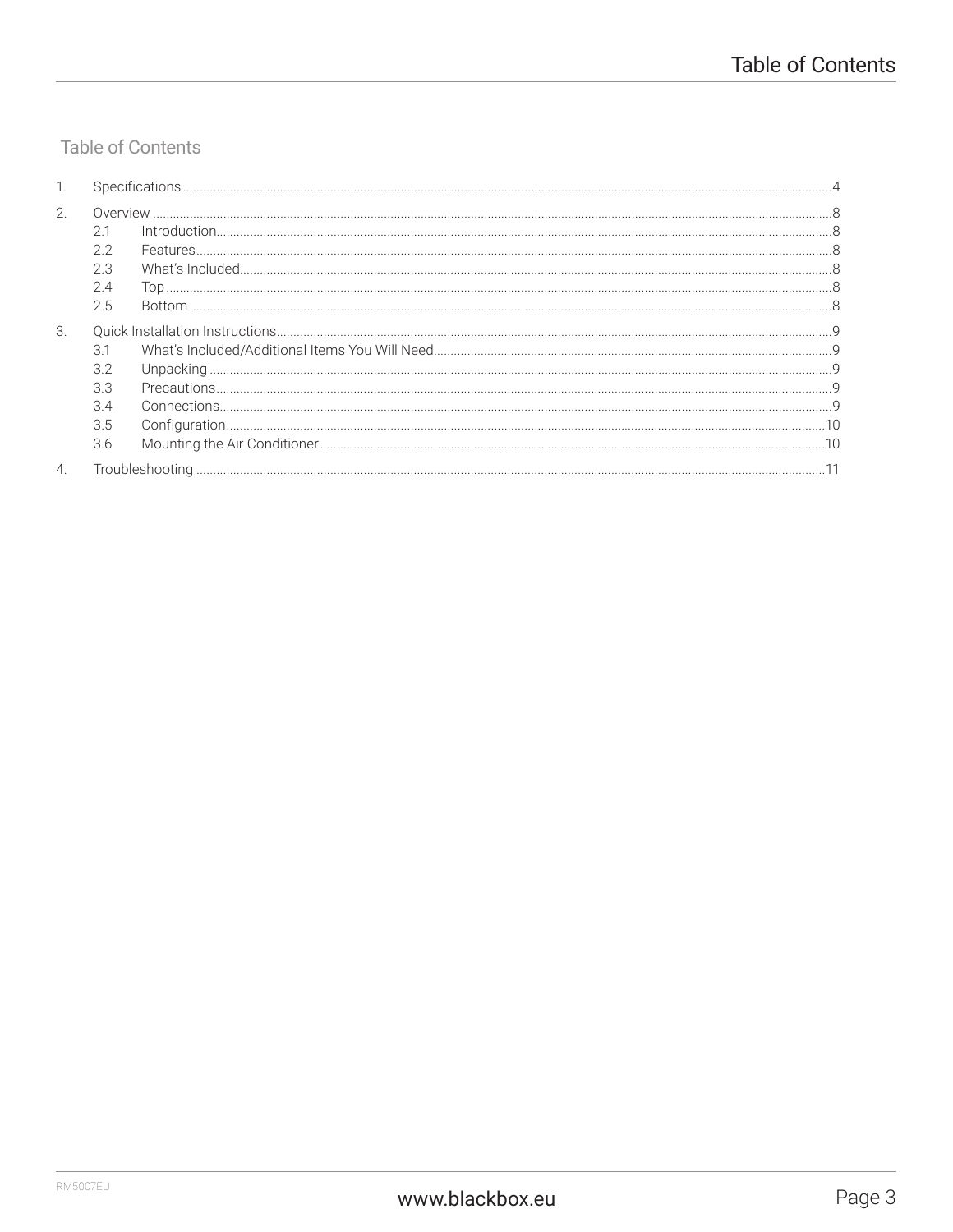## **Table of Contents**

|                  | <b>Specifications</b> |  |  |  |  |  |
|------------------|-----------------------|--|--|--|--|--|
| 2.               |                       |  |  |  |  |  |
|                  |                       |  |  |  |  |  |
|                  |                       |  |  |  |  |  |
|                  |                       |  |  |  |  |  |
|                  |                       |  |  |  |  |  |
|                  | 2.5                   |  |  |  |  |  |
| 3.               |                       |  |  |  |  |  |
|                  | 31                    |  |  |  |  |  |
|                  |                       |  |  |  |  |  |
|                  |                       |  |  |  |  |  |
|                  |                       |  |  |  |  |  |
|                  | 3.5                   |  |  |  |  |  |
|                  | 3.6                   |  |  |  |  |  |
| $\overline{4}$ . |                       |  |  |  |  |  |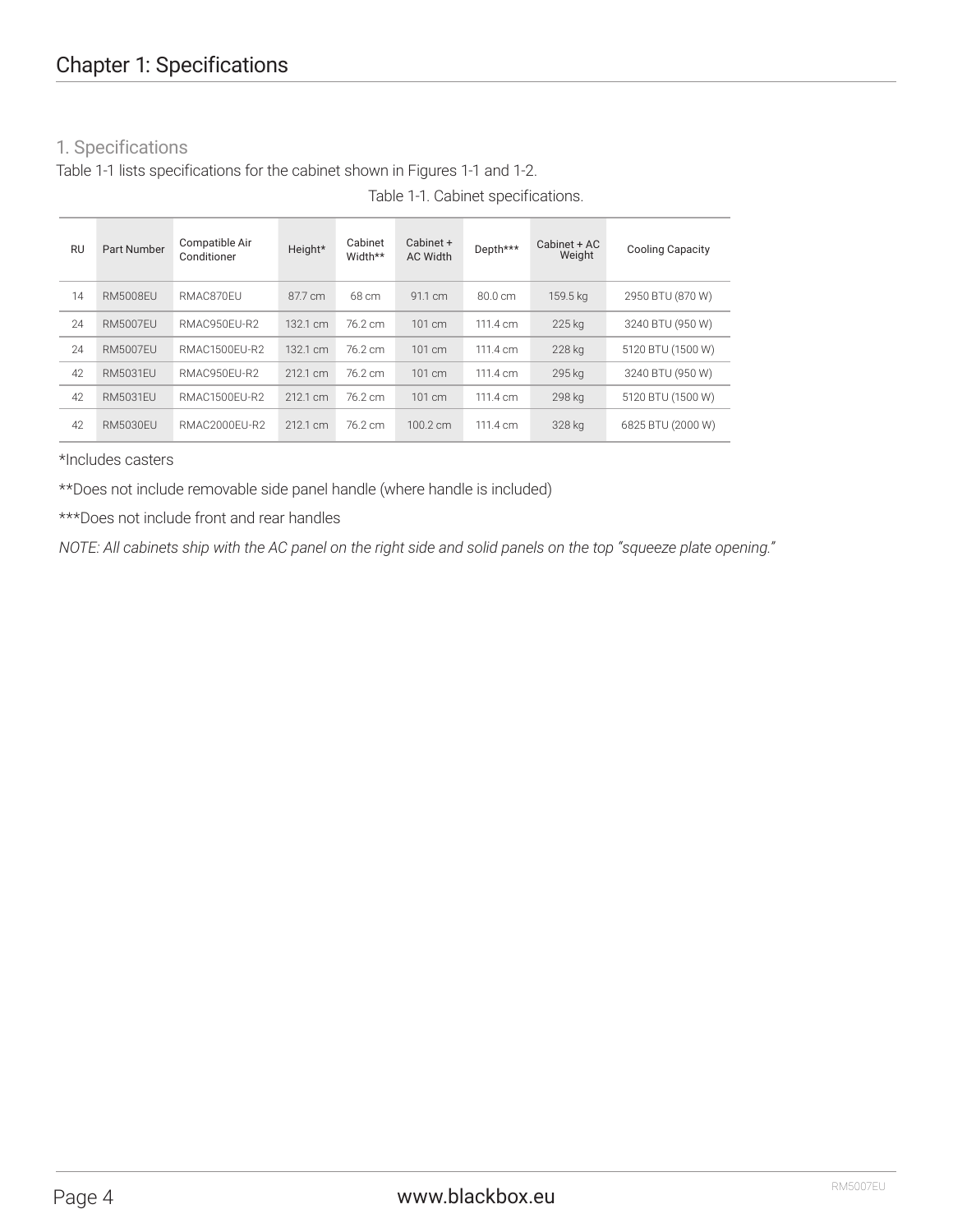## 1. Specifications

Table 1-1 lists specifications for the cabinet shown in Figures 1-1 and 1-2.

| <b>RU</b> | Part Number     | Compatible Air<br>Conditioner | Height*  | Cabinet<br>Width** | Cabinet +<br><b>AC Width</b> | Depth***          | Cabinet + AC<br>Weight | <b>Cooling Capacity</b> |
|-----------|-----------------|-------------------------------|----------|--------------------|------------------------------|-------------------|------------------------|-------------------------|
| 14        | <b>RM5008EU</b> | RMAC870FU                     | 87.7 cm  | 68 cm              | 91.1 cm                      | $80.0 \text{ cm}$ | 159.5 kg               | 2950 BTU (870 W)        |
| 24        | <b>RM5007FU</b> | RMAC950FU-R2                  | 132.1 cm | 76.2 cm            | 101 cm                       | 111.4 cm          | 225 kg                 | 3240 BTU (950 W)        |
| 24        | <b>RM5007FU</b> | RMAC1500FU-R2                 | 132.1 cm | 76.2 cm            | 101 cm                       | 111.4 cm          | 228 kg                 | 5120 BTU (1500 W)       |
| 42        | <b>RM5031FU</b> | RMAC950FU-R2                  | 212.1 cm | 76.2 cm            | $101 \text{ cm}$             | 111.4 cm          | 295 kg                 | 3240 BTU (950 W)        |
| 42        | <b>RM5031FU</b> | RMAC1500FU-R2                 | 212.1 cm | 76.2 cm            | $101 \text{ cm}$             | 111.4 cm          | 298 kg                 | 5120 BTU (1500 W)       |
| 42        | RM5030FU        | RMAC2000FU-R2                 | 212.1 cm | 76.2 cm            | $100.2 \text{ cm}$           | 111.4 cm          | 328 kg                 | 6825 BTU (2000 W)       |

Table 1-1. Cabinet specifications.

#### \*Includes casters

\*\*Does not include removable side panel handle (where handle is included)

\*\*\*Does not include front and rear handles

*NOTE: All cabinets ship with the AC panel on the right side and solid panels on the top "squeeze plate opening."*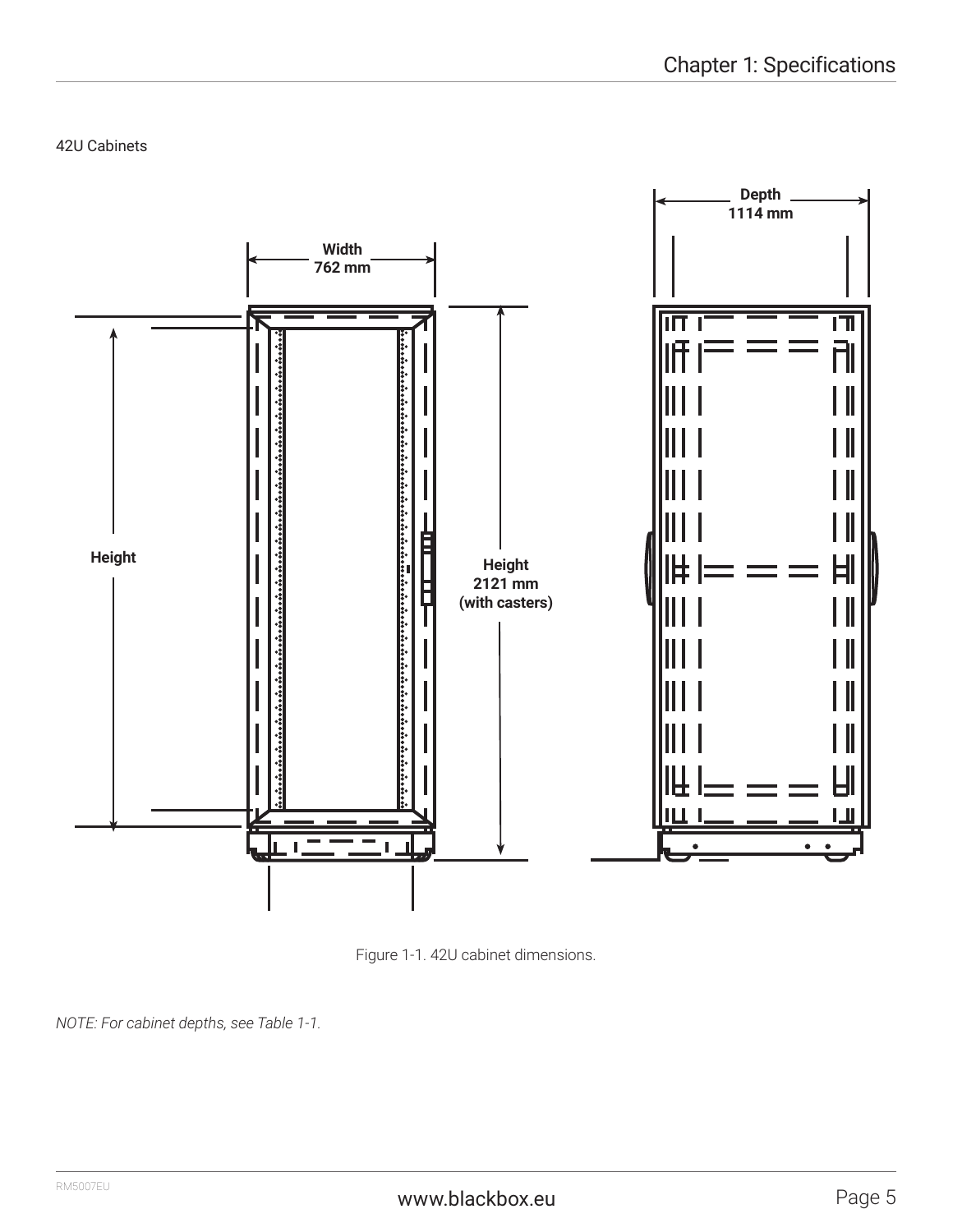42U Cabinets



Figure 1-1. 42U cabinet dimensions.

*NOTE: For cabinet depths, see Table 1-1.*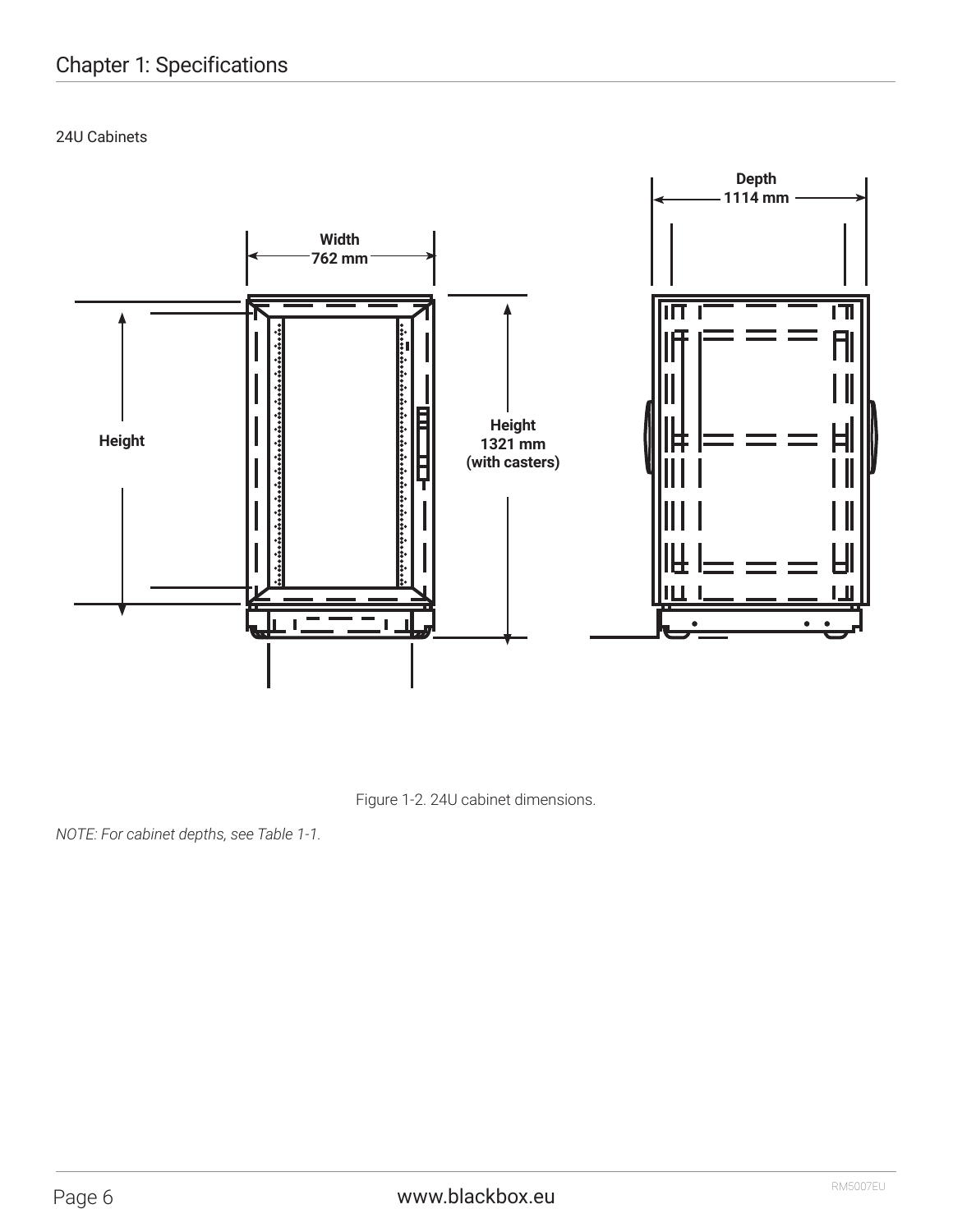24U Cabinets



Figure 1-2. 24U cabinet dimensions.

*NOTE: For cabinet depths, see Table 1-1.*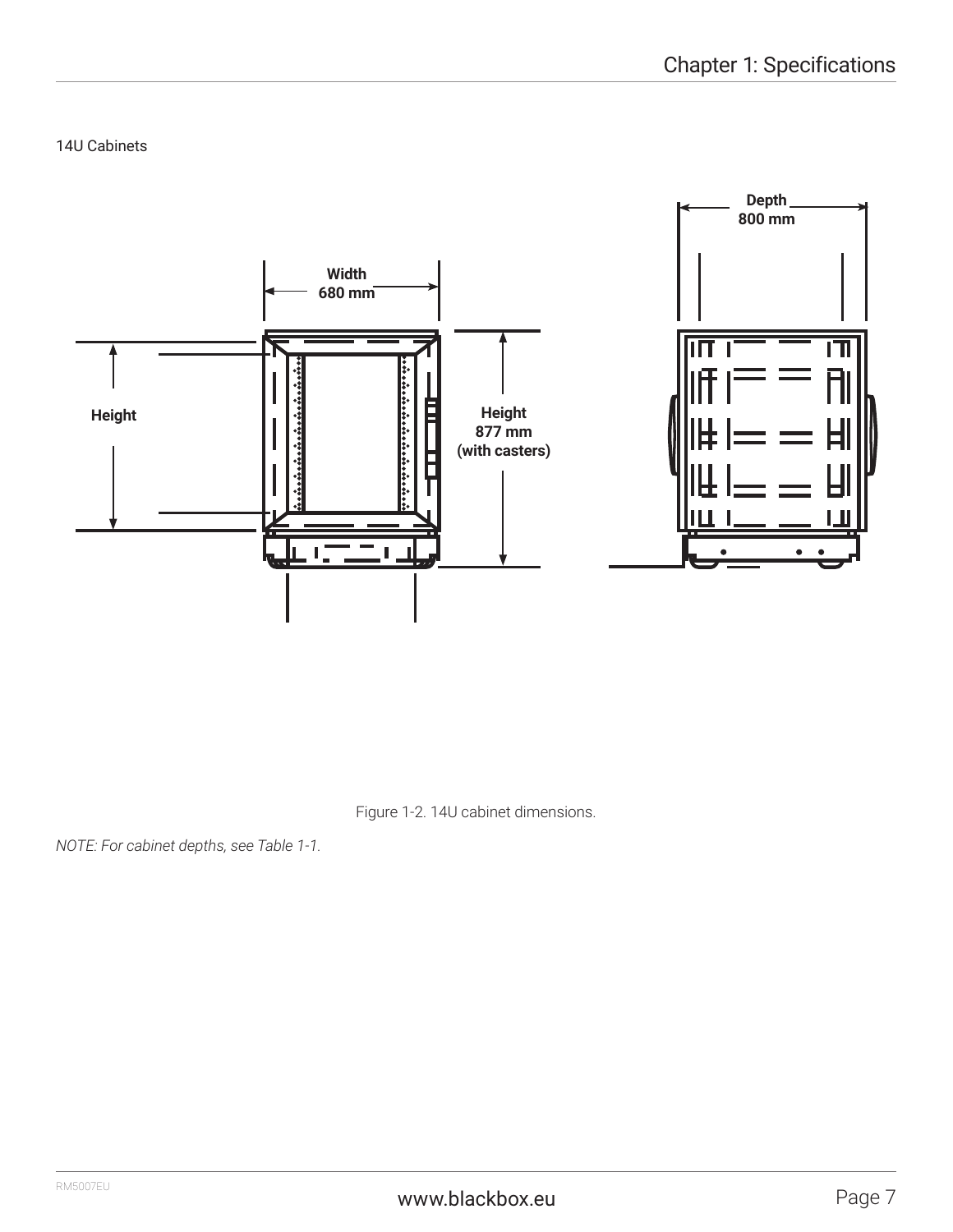14U Cabinets



Figure 1-2. 14U cabinet dimensions.

*NOTE: For cabinet depths, see Table 1-1.*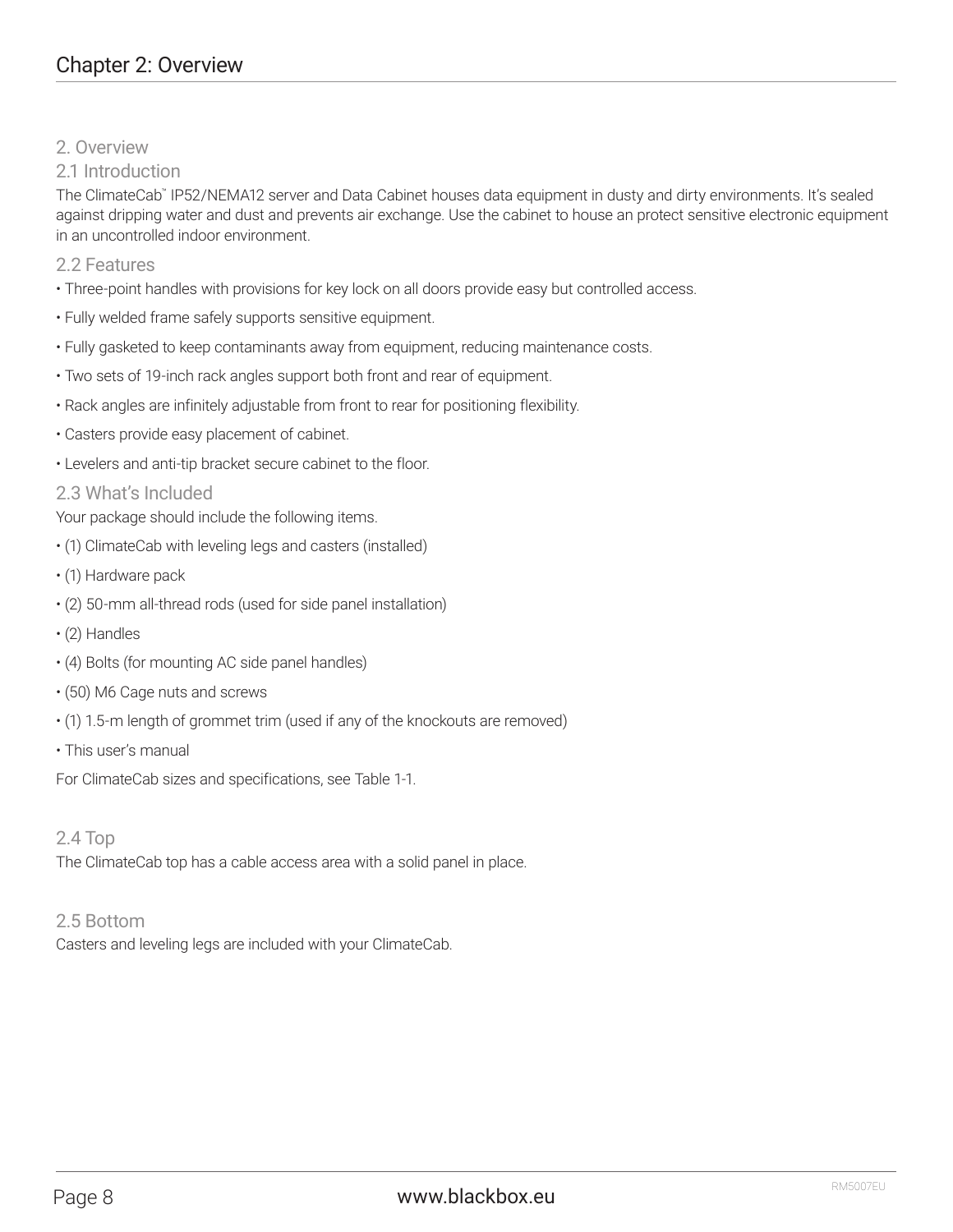### 2. Overview

## 2.1 Introduction

The ClimateCab™ IP52/NEMA12 server and Data Cabinet houses data equipment in dusty and dirty environments. It's sealed against dripping water and dust and prevents air exchange. Use the cabinet to house an protect sensitive electronic equipment in an uncontrolled indoor environment.

2.2 Features

- Three-point handles with provisions for key lock on all doors provide easy but controlled access.
- Fully welded frame safely supports sensitive equipment.
- Fully gasketed to keep contaminants away from equipment, reducing maintenance costs.
- Two sets of 19-inch rack angles support both front and rear of equipment.
- Rack angles are infinitely adjustable from front to rear for positioning flexibility.
- Casters provide easy placement of cabinet.
- Levelers and anti-tip bracket secure cabinet to the floor.

## 2.3 What's Included

Your package should include the following items.

- (1) ClimateCab with leveling legs and casters (installed)
- (1) Hardware pack
- (2) 50-mm all-thread rods (used for side panel installation)
- (2) Handles
- (4) Bolts (for mounting AC side panel handles)
- (50) M6 Cage nuts and screws
- (1) 1.5-m length of grommet trim (used if any of the knockouts are removed)
- This user's manual

For ClimateCab sizes and specifications, see Table 1-1.

2.4 Top

The ClimateCab top has a cable access area with a solid panel in place.

### 2.5 Bottom

Casters and leveling legs are included with your ClimateCab.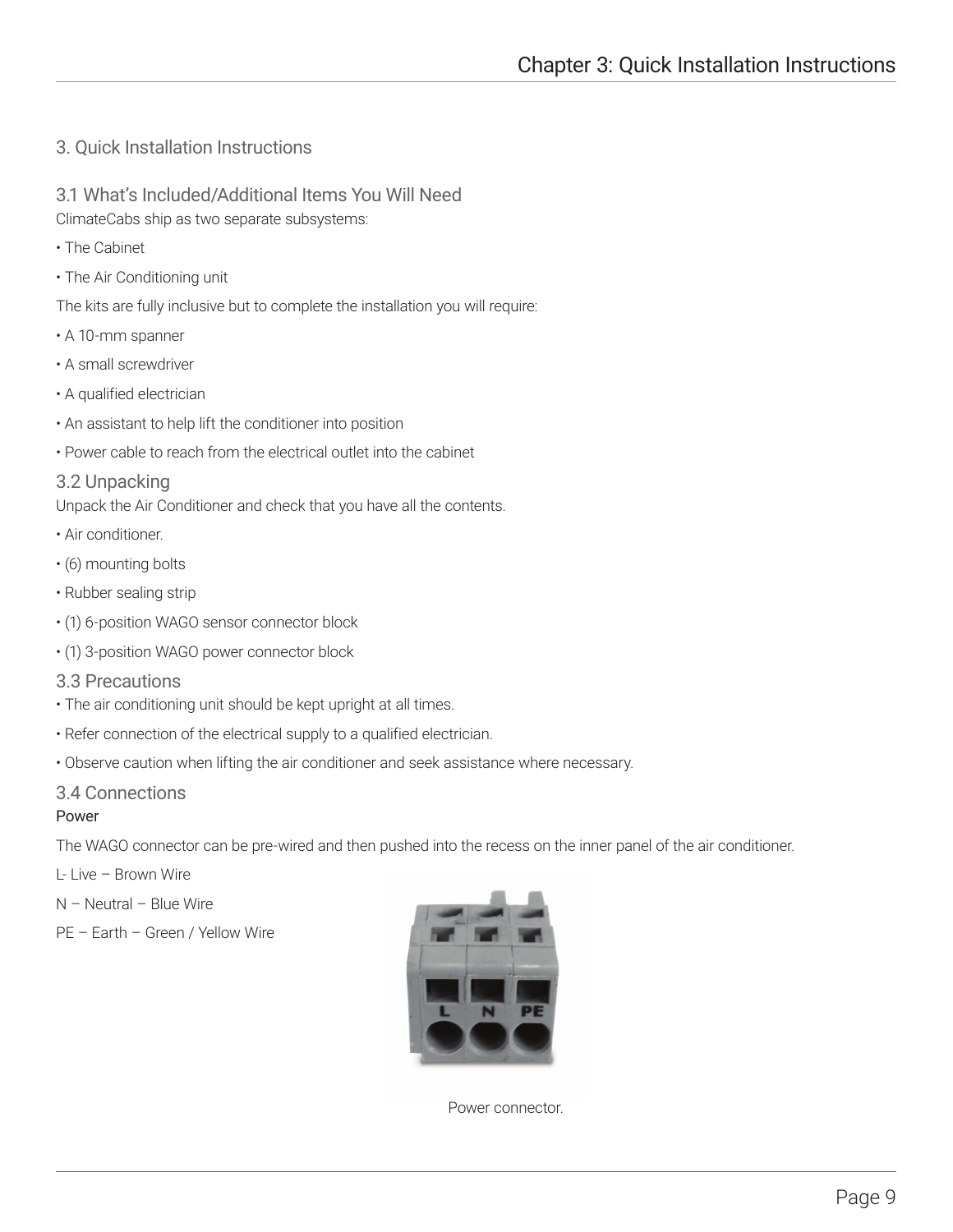## 3. Quick Installation Instructions

3.1 What's Included/Additional Items You Will Need ClimateCabs ship as two separate subsystems:

- The Cabinet
- The Air Conditioning unit

The kits are fully inclusive but to complete the installation you will require:

- A 10-mm spanner
- A small screwdriver
- A qualified electrician
- An assistant to help lift the conditioner into position
- Power cable to reach from the electrical outlet into the cabinet

#### 3.2 Unpacking

Unpack the Air Conditioner and check that you have all the contents.

- Air conditioner.
- (6) mounting bolts
- Rubber sealing strip
- (1) 6-position WAGO sensor connector block
- (1) 3-position WAGO power connector block
- 3.3 Precautions
- The air conditioning unit should be kept upright at all times.
- Refer connection of the electrical supply to a qualified electrician.
- Observe caution when lifting the air conditioner and seek assistance where necessary.

#### 3.4 Connections

#### Power

The WAGO connector can be pre-wired and then pushed into the recess on the inner panel of the air conditioner.

L- Live – Brown Wire

N – Neutral – Blue Wire

PE – Earth – Green / Yellow Wire



Power connector.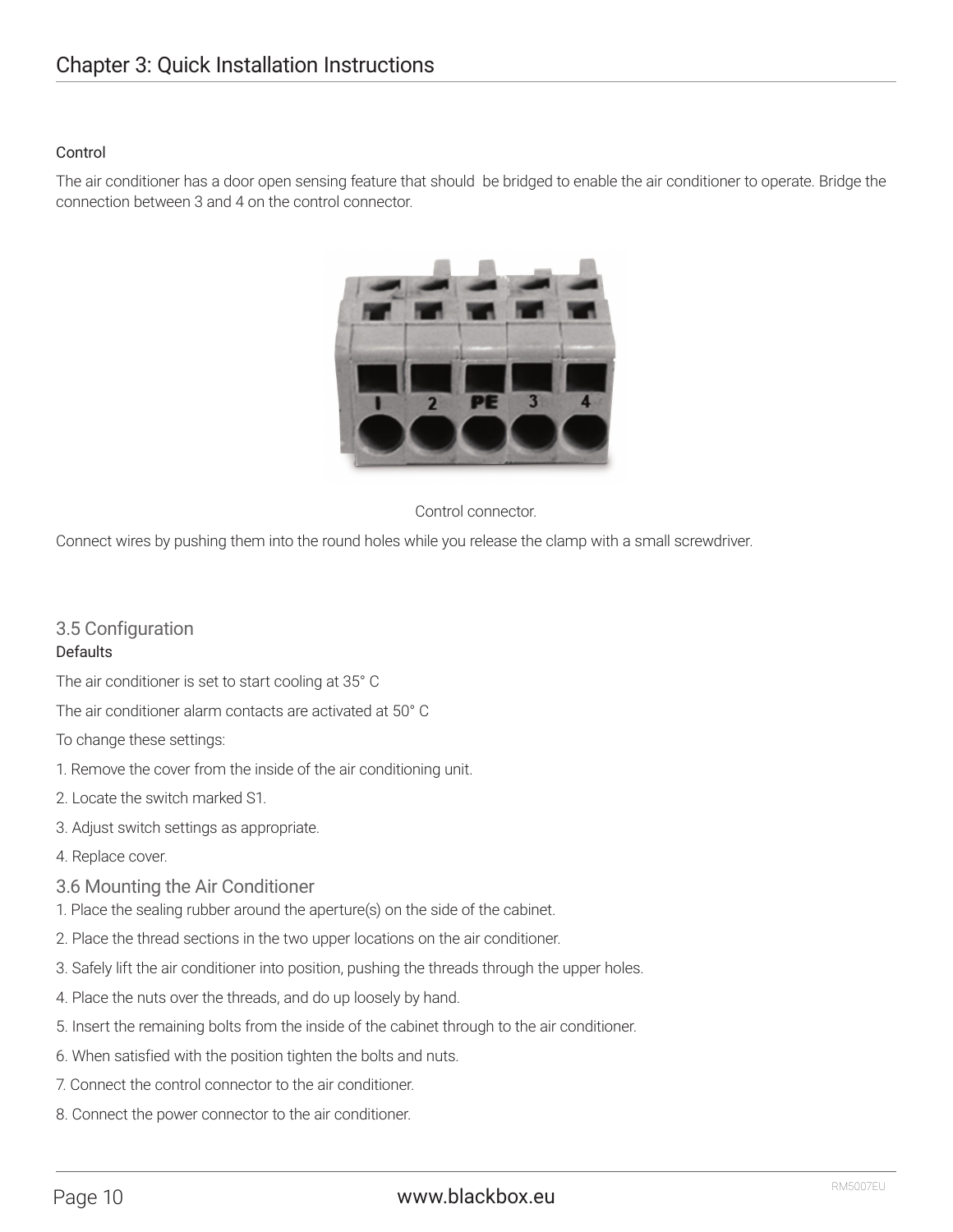#### Control

The air conditioner has a door open sensing feature that should be bridged to enable the air conditioner to operate. Bridge the connection between 3 and 4 on the control connector.



#### Control connector.

Connect wires by pushing them into the round holes while you release the clamp with a small screwdriver.

## 3.5 Configuration

#### **Defaults**

The air conditioner is set to start cooling at 35° C

The air conditioner alarm contacts are activated at 50° C

To change these settings:

- 1. Remove the cover from the inside of the air conditioning unit.
- 2. Locate the switch marked S1.
- 3. Adjust switch settings as appropriate.
- 4. Replace cover.
- 3.6 Mounting the Air Conditioner
- 1. Place the sealing rubber around the aperture(s) on the side of the cabinet.
- 2. Place the thread sections in the two upper locations on the air conditioner.
- 3. Safely lift the air conditioner into position, pushing the threads through the upper holes.
- 4. Place the nuts over the threads, and do up loosely by hand.
- 5. Insert the remaining bolts from the inside of the cabinet through to the air conditioner.
- 6. When satisfied with the position tighten the bolts and nuts.
- 7. Connect the control connector to the air conditioner.
- 8. Connect the power connector to the air conditioner.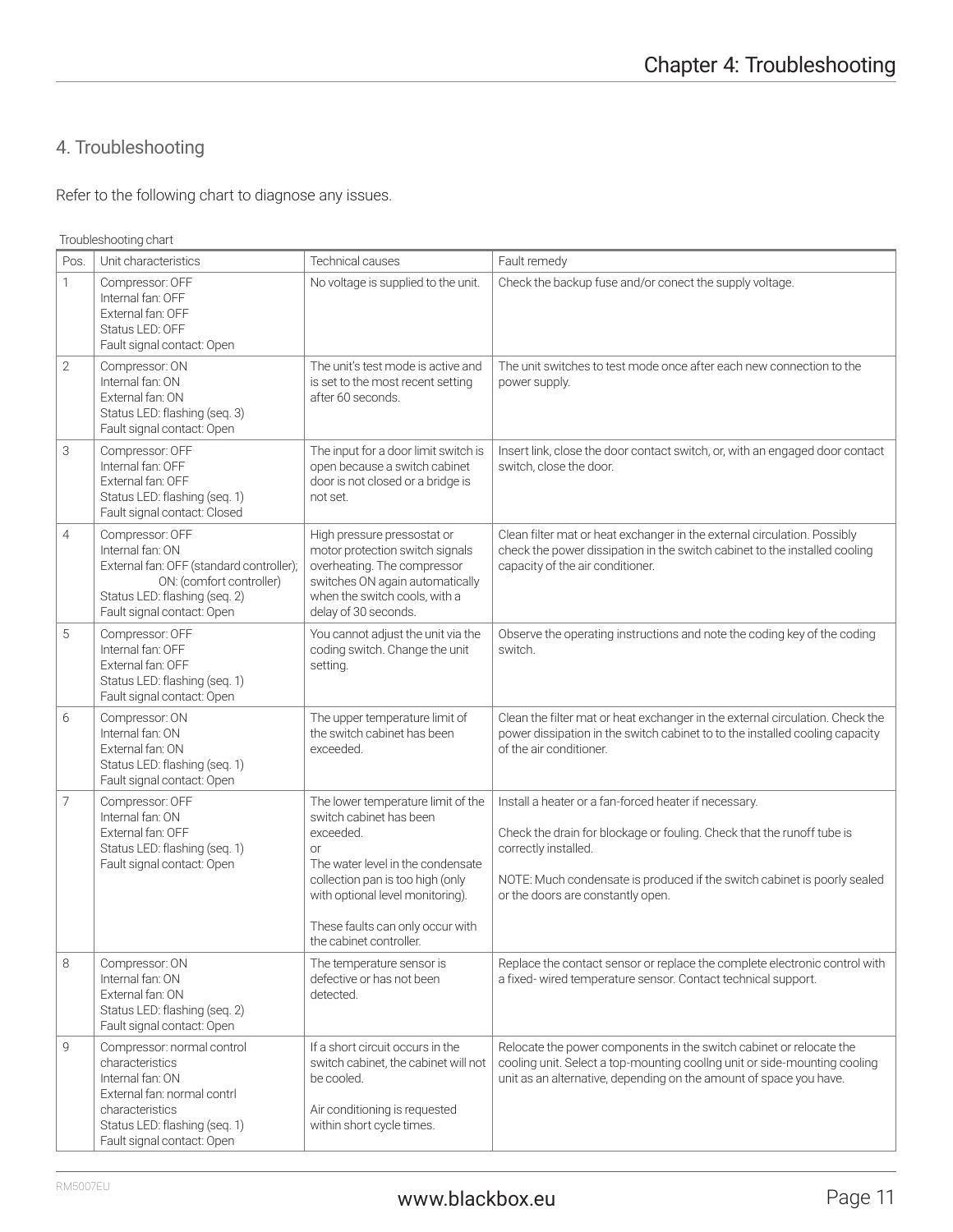## 4. Troubleshooting

Refer to the following chart to diagnose any issues.

Troubleshooting chart

| Pos. | Unit characteristics                                                                                                                                                               | Technical causes                                                                                                                                                                                                                                                    | Fault remedy                                                                                                                                                                                                                                                             |  |  |  |
|------|------------------------------------------------------------------------------------------------------------------------------------------------------------------------------------|---------------------------------------------------------------------------------------------------------------------------------------------------------------------------------------------------------------------------------------------------------------------|--------------------------------------------------------------------------------------------------------------------------------------------------------------------------------------------------------------------------------------------------------------------------|--|--|--|
| 1    | Compressor: OFF<br>Internal fan: OFF<br>External fan: OFF<br>Status LED: OFF<br>Fault signal contact: Open                                                                         | No voltage is supplied to the unit.                                                                                                                                                                                                                                 | Check the backup fuse and/or conect the supply voltage.                                                                                                                                                                                                                  |  |  |  |
| 2    | Compressor: ON<br>Internal fan: ON<br>External fan: ON<br>Status LED: flashing (seq. 3)<br>Fault signal contact: Open                                                              | The unit's test mode is active and<br>is set to the most recent setting<br>after 60 seconds.                                                                                                                                                                        | The unit switches to test mode once after each new connection to the<br>power supply.                                                                                                                                                                                    |  |  |  |
| 3    | Compressor: OFF<br>Internal fan: OFF<br>External fan: OFF<br>Status LED: flashing (seq. 1)<br>Fault signal contact: Closed                                                         | The input for a door limit switch is<br>open because a switch cabinet<br>door is not closed or a bridge is<br>not set.                                                                                                                                              | Insert link, close the door contact switch, or, with an engaged door contact<br>switch, close the door.                                                                                                                                                                  |  |  |  |
| 4    | Compressor: OFF<br>Internal fan: ON<br>External fan: OFF (standard controller);<br>ON: (comfort controller)<br>Status LED: flashing (seq. 2)<br>Fault signal contact: Open         | High pressure pressostat or<br>motor protection switch signals<br>overheating. The compressor<br>switches ON again automatically<br>when the switch cools, with a<br>delay of 30 seconds.                                                                           | Clean filter mat or heat exchanger in the external circulation. Possibly<br>check the power dissipation in the switch cabinet to the installed cooling<br>capacity of the air conditioner.                                                                               |  |  |  |
| 5    | Compressor: OFF<br>Internal fan: OFF<br>External fan: OFF<br>Status LED: flashing (seq. 1)<br>Fault signal contact: Open                                                           | You cannot adjust the unit via the<br>coding switch. Change the unit<br>setting.                                                                                                                                                                                    | Observe the operating instructions and note the coding key of the coding<br>switch.                                                                                                                                                                                      |  |  |  |
| 6    | Compressor: ON<br>Internal fan: ON<br>External fan: ON<br>Status LED: flashing (seq. 1)<br>Fault signal contact: Open                                                              | The upper temperature limit of<br>the switch cabinet has been<br>exceeded.                                                                                                                                                                                          | Clean the filter mat or heat exchanger in the external circulation. Check the<br>power dissipation in the switch cabinet to to the installed cooling capacity<br>of the air conditioner.                                                                                 |  |  |  |
| 7    | Compressor: OFF<br>Internal fan: ON<br>External fan: OFF<br>Status LED: flashing (seq. 1)<br>Fault signal contact: Open                                                            | The lower temperature limit of the<br>switch cabinet has been<br>exceeded.<br><b>or</b><br>The water level in the condensate<br>collection pan is too high (only<br>with optional level monitoring).<br>These faults can only occur with<br>the cabinet controller. | Install a heater or a fan-forced heater if necessary.<br>Check the drain for blockage or fouling. Check that the runoff tube is<br>correctly installed.<br>NOTE: Much condensate is produced if the switch cabinet is poorly sealed<br>or the doors are constantly open. |  |  |  |
| 8    | Compressor: ON<br>Internal fan: ON<br>External fan: ON<br>Status LED: flashing (seq. 2)<br>Fault signal contact: Open                                                              | The temperature sensor is<br>defective or has not been<br>detected.                                                                                                                                                                                                 | Replace the contact sensor or replace the complete electronic control with<br>a fixed-wired temperature sensor. Contact technical support.                                                                                                                               |  |  |  |
| 9    | Compressor: normal control<br>characteristics<br>Internal fan: ON<br>External fan: normal contrl<br>characteristics<br>Status LED: flashing (seq. 1)<br>Fault signal contact: Open | If a short circuit occurs in the<br>switch cabinet, the cabinet will not<br>be cooled.<br>Air conditioning is requested<br>within short cycle times.                                                                                                                | Relocate the power components in the switch cabinet or relocate the<br>cooling unit. Select a top-mounting cooling unit or side-mounting cooling<br>unit as an alternative, depending on the amount of space you have.                                                   |  |  |  |